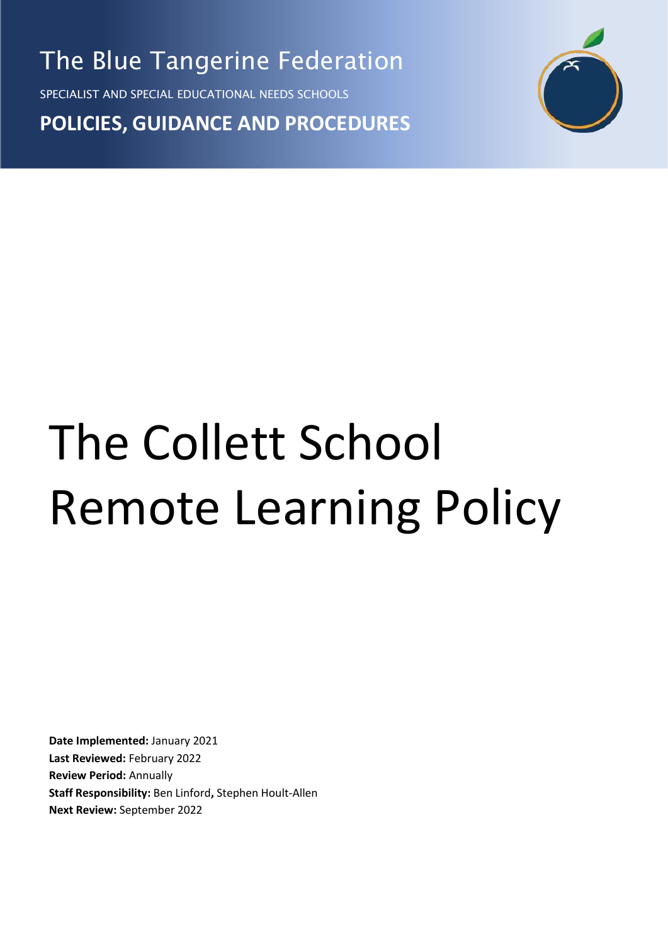The Blue Tangerine Federation

SPECIALIST AND SPECIAL EDUCATIONAL NEEDS SCHOOLS

**POLICIES, GUIDANCE AND PROCEDURES**



# The Collett School Remote Learning Policy

**Date Implemented:** January 2021 **Last Reviewed:** February 2022 **Review Period:** Annually **Staff Responsibility:** Ben Linford**,** Stephen Hoult-Allen **Next Review:** September 2022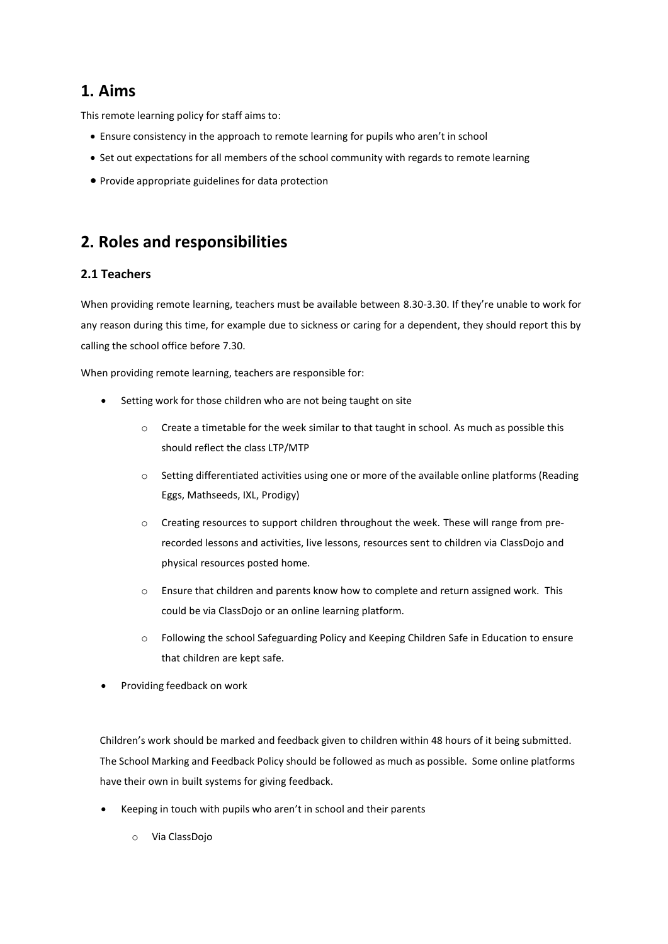## **1. Aims**

This remote learning policy for staff aims to:

- Ensure consistency in the approach to remote learning for pupils who aren't in school
- Set out expectations for all members of the school community with regards to remote learning
- Provide appropriate guidelines for data protection

## **2. Roles and responsibilities**

#### **2.1 Teachers**

When providing remote learning, teachers must be available between 8.30-3.30. If they're unable to work for any reason during this time, for example due to sickness or caring for a dependent, they should report this by calling the school office before 7.30.

When providing remote learning, teachers are responsible for:

- Setting work for those children who are not being taught on site
	- $\circ$  Create a timetable for the week similar to that taught in school. As much as possible this should reflect the class LTP/MTP
	- o Setting differentiated activities using one or more of the available online platforms (Reading Eggs, Mathseeds, IXL, Prodigy)
	- o Creating resources to support children throughout the week. These will range from prerecorded lessons and activities, live lessons, resources sent to children via ClassDojo and physical resources posted home.
	- Ensure that children and parents know how to complete and return assigned work. This could be via ClassDojo or an online learning platform.
	- Following the school Safeguarding Policy and Keeping Children Safe in Education to ensure that children are kept safe.
- Providing feedback on work

Children's work should be marked and feedback given to children within 48 hours of it being submitted. The School Marking and Feedback Policy should be followed as much as possible. Some online platforms have their own in built systems for giving feedback.

- Keeping in touch with pupils who aren't in school and their parents
	- o Via ClassDojo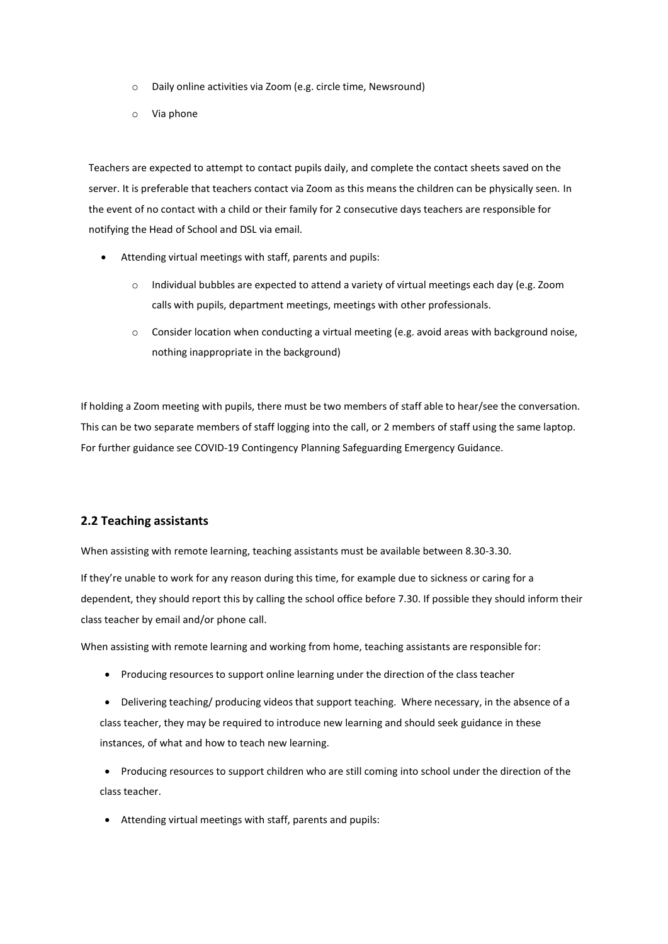- o Daily online activities via Zoom (e.g. circle time, Newsround)
- o Via phone

Teachers are expected to attempt to contact pupils daily, and complete the contact sheets saved on the server. It is preferable that teachers contact via Zoom as this means the children can be physically seen. In the event of no contact with a child or their family for 2 consecutive days teachers are responsible for notifying the Head of School and DSL via email.

- Attending virtual meetings with staff, parents and pupils:
	- o Individual bubbles are expected to attend a variety of virtual meetings each day (e.g. Zoom calls with pupils, department meetings, meetings with other professionals.
	- $\circ$  Consider location when conducting a virtual meeting (e.g. avoid areas with background noise, nothing inappropriate in the background)

If holding a Zoom meeting with pupils, there must be two members of staff able to hear/see the conversation. This can be two separate members of staff logging into the call, or 2 members of staff using the same laptop. For further guidance see COVID-19 Contingency Planning Safeguarding Emergency Guidance.

#### **2.2 Teaching assistants**

When assisting with remote learning, teaching assistants must be available between 8.30-3.30.

If they're unable to work for any reason during this time, for example due to sickness or caring for a dependent, they should report this by calling the school office before 7.30. If possible they should inform their class teacher by email and/or phone call.

When assisting with remote learning and working from home, teaching assistants are responsible for:

- Producing resources to support online learning under the direction of the class teacher
- Delivering teaching/ producing videos that support teaching. Where necessary, in the absence of a class teacher, they may be required to introduce new learning and should seek guidance in these instances, of what and how to teach new learning.
- Producing resources to support children who are still coming into school under the direction of the class teacher.
- Attending virtual meetings with staff, parents and pupils: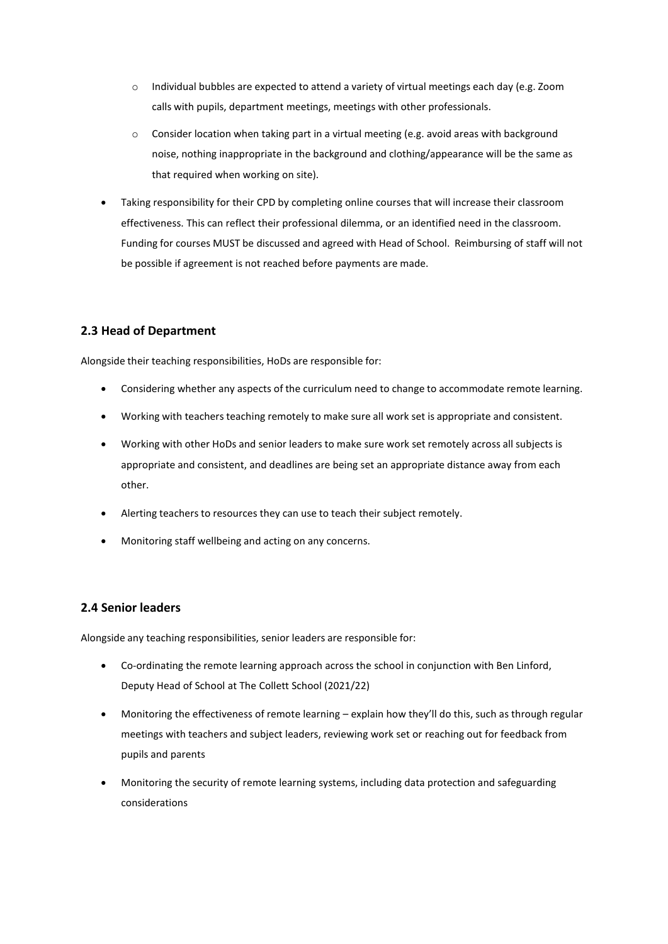- o Individual bubbles are expected to attend a variety of virtual meetings each day (e.g. Zoom calls with pupils, department meetings, meetings with other professionals.
- $\circ$  Consider location when taking part in a virtual meeting (e.g. avoid areas with background noise, nothing inappropriate in the background and clothing/appearance will be the same as that required when working on site).
- Taking responsibility for their CPD by completing online courses that will increase their classroom effectiveness. This can reflect their professional dilemma, or an identified need in the classroom. Funding for courses MUST be discussed and agreed with Head of School. Reimbursing of staff will not be possible if agreement is not reached before payments are made.

#### **2.3 Head of Department**

Alongside their teaching responsibilities, HoDs are responsible for:

- Considering whether any aspects of the curriculum need to change to accommodate remote learning.
- Working with teachers teaching remotely to make sure all work set is appropriate and consistent.
- Working with other HoDs and senior leaders to make sure work set remotely across all subjects is appropriate and consistent, and deadlines are being set an appropriate distance away from each other.
- Alerting teachers to resources they can use to teach their subject remotely.
- Monitoring staff wellbeing and acting on any concerns.

#### **2.4 Senior leaders**

Alongside any teaching responsibilities, senior leaders are responsible for:

- Co-ordinating the remote learning approach across the school in conjunction with Ben Linford, Deputy Head of School at The Collett School (2021/22)
- Monitoring the effectiveness of remote learning explain how they'll do this, such as through regular meetings with teachers and subject leaders, reviewing work set or reaching out for feedback from pupils and parents
- Monitoring the security of remote learning systems, including data protection and safeguarding considerations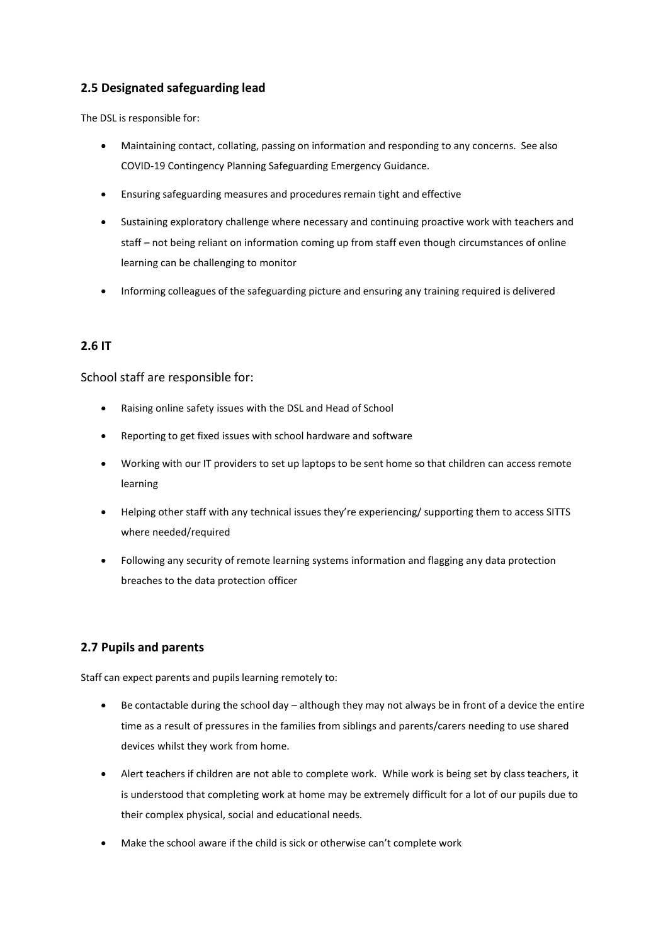### **2.5 Designated safeguarding lead**

The DSL is responsible for:

- Maintaining contact, collating, passing on information and responding to any concerns. See also COVID-19 Contingency Planning Safeguarding Emergency Guidance.
- Ensuring safeguarding measures and procedures remain tight and effective
- Sustaining exploratory challenge where necessary and continuing proactive work with teachers and staff – not being reliant on information coming up from staff even though circumstances of online learning can be challenging to monitor
- Informing colleagues of the safeguarding picture and ensuring any training required is delivered

#### **2.6 IT**

School staff are responsible for:

- Raising online safety issues with the DSL and Head of School
- Reporting to get fixed issues with school hardware and software
- Working with our IT providers to set up laptops to be sent home so that children can access remote learning
- Helping other staff with any technical issues they're experiencing/ supporting them to access SITTS where needed/required
- Following any security of remote learning systems information and flagging any data protection breaches to the data protection officer

#### **2.7 Pupils and parents**

Staff can expect parents and pupils learning remotely to:

- Be contactable during the school day although they may not always be in front of a device the entire time as a result of pressures in the families from siblings and parents/carers needing to use shared devices whilst they work from home.
- Alert teachers if children are not able to complete work. While work is being set by class teachers, it is understood that completing work at home may be extremely difficult for a lot of our pupils due to their complex physical, social and educational needs.
- Make the school aware if the child is sick or otherwise can't complete work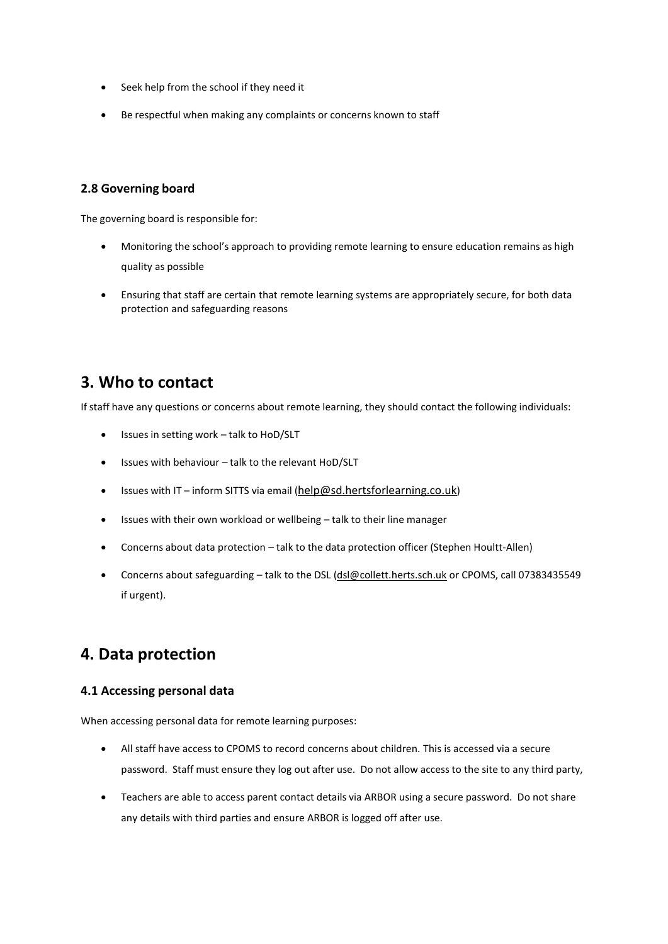- Seek help from the school if they need it
- Be respectful when making any complaints or concerns known to staff

#### **2.8 Governing board**

The governing board is responsible for:

- Monitoring the school's approach to providing remote learning to ensure education remains as high quality as possible
- Ensuring that staff are certain that remote learning systems are appropriately secure, for both data protection and safeguarding reasons

## **3. Who to contact**

If staff have any questions or concerns about remote learning, they should contact the following individuals:

- Issues in setting work talk to HoD/SLT
- Issues with behaviour talk to the relevant HoD/SLT
- Issues with IT inform SITTS via email ([help@sd.hertsforlearning.co.uk](mailto:help@sd.hertsforlearning.co.uk))
- Issues with their own workload or wellbeing talk to their line manager
- Concerns about data protection talk to the data protection officer (Stephen Houltt-Allen)
- Concerns about safeguarding talk to the DS[L \(dsl@collett.herts.sch.uk](mailto:dsl@collett.herts.sch.uk) or CPOMS, call 07383435549 if urgent).

## **4. Data protection**

#### **4.1 Accessing personal data**

When accessing personal data for remote learning purposes:

- All staff have access to CPOMS to record concerns about children. This is accessed via a secure password. Staff must ensure they log out after use. Do not allow access to the site to any third party,
- Teachers are able to access parent contact details via ARBOR using a secure password. Do not share any details with third parties and ensure ARBOR is logged off after use.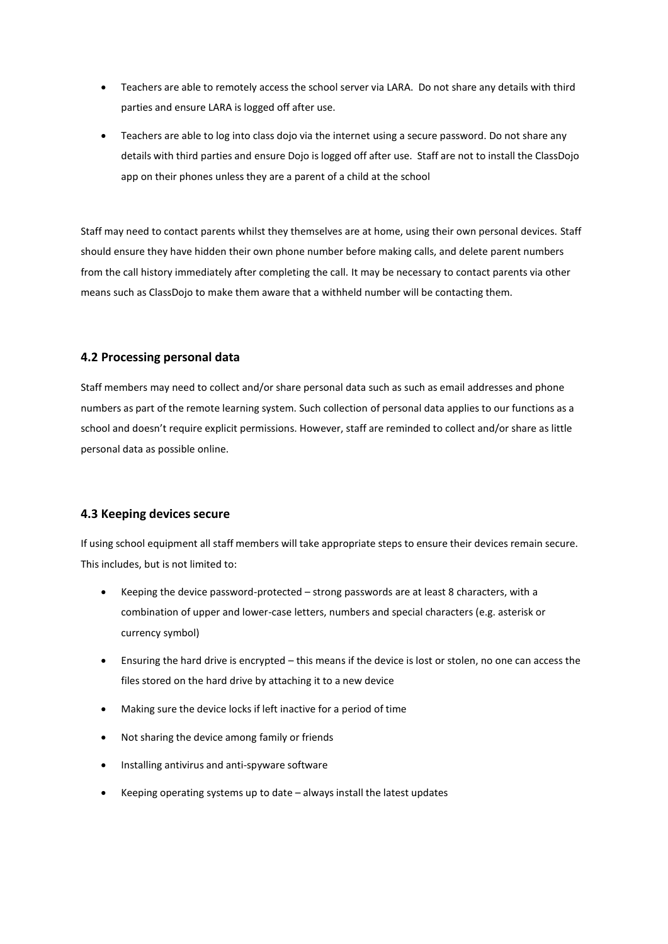- Teachers are able to remotely access the school server via LARA. Do not share any details with third parties and ensure LARA is logged off after use.
- Teachers are able to log into class dojo via the internet using a secure password. Do not share any details with third parties and ensure Dojo is logged off after use. Staff are not to install the ClassDojo app on their phones unless they are a parent of a child at the school

Staff may need to contact parents whilst they themselves are at home, using their own personal devices. Staff should ensure they have hidden their own phone number before making calls, and delete parent numbers from the call history immediately after completing the call. It may be necessary to contact parents via other means such as ClassDojo to make them aware that a withheld number will be contacting them.

#### **4.2 Processing personal data**

Staff members may need to collect and/or share personal data such as such as email addresses and phone numbers as part of the remote learning system. Such collection of personal data applies to our functions as a school and doesn't require explicit permissions. However, staff are reminded to collect and/or share as little personal data as possible online.

#### **4.3 Keeping devices secure**

If using school equipment all staff members will take appropriate steps to ensure their devices remain secure. This includes, but is not limited to:

- Keeping the device password-protected strong passwords are at least 8 characters, with a combination of upper and lower-case letters, numbers and special characters (e.g. asterisk or currency symbol)
- Ensuring the hard drive is encrypted this means if the device is lost or stolen, no one can access the files stored on the hard drive by attaching it to a new device
- Making sure the device locks if left inactive for a period of time
- Not sharing the device among family or friends
- Installing antivirus and anti-spyware software
- Keeping operating systems up to date always install the latest updates